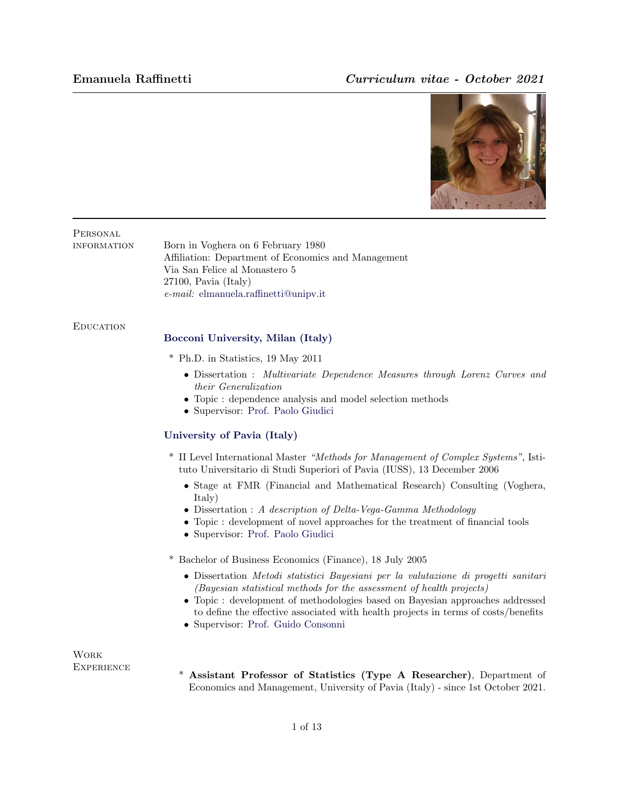## Emanuela Raffinetti Curriculum vitae - October 2021



## **PERSONAL**

information Born in Voghera on 6 February 1980 Affiliation: Department of Economics and Management Via San Felice al Monastero 5 27100, Pavia (Italy) e-mail: [elmanuela.raffinetti@unipv.it](mailto:elmanuela.raffinetti@unipv.it)

#### **EDUCATION**

### [Bocconi University, Milan \(Italy\)](http://www.osu.edu/)

- \* Ph.D. in Statistics, 19 May 2011
	- Dissertation : Multivariate Dependence Measures through Lorenz Curves and their Generalization
	- Topic : dependence analysis and model selection methods
	- Supervisor: [Prof. Paolo Giudici](http://www.ece.osu.edu/~passino/)

#### [University of Pavia \(Italy\)](http://www.osu.edu/)

- \* II Level International Master "Methods for Management of Complex Systems", Istituto Universitario di Studi Superiori of Pavia (IUSS), 13 December 2006
	- Stage at FMR (Financial and Mathematical Research) Consulting (Voghera, Italy)
	- Dissertation : A description of Delta-Vega-Gamma Methodology
	- Topic : development of novel approaches for the treatment of financial tools
	- Supervisor: [Prof. Paolo Giudici](http://www.ece.osu.edu/~passino/)
- \* Bachelor of Business Economics (Finance), 18 July 2005
	- Dissertation Metodi statistici Bayesiani per la valutazione di progetti sanitari (Bayesian statistical methods for the assessment of health projects)
	- Topic : development of methodologies based on Bayesian approaches addressed to define the effective associated with health projects in terms of costs/benefits
	- Supervisor: [Prof. Guido Consonni](http://www.ece.osu.edu/~passino/)

Work **EXPERIENCE** 

\* Assistant Professor of Statistics (Type A Researcher), Department of Economics and Management, University of Pavia (Italy) - since 1st October 2021.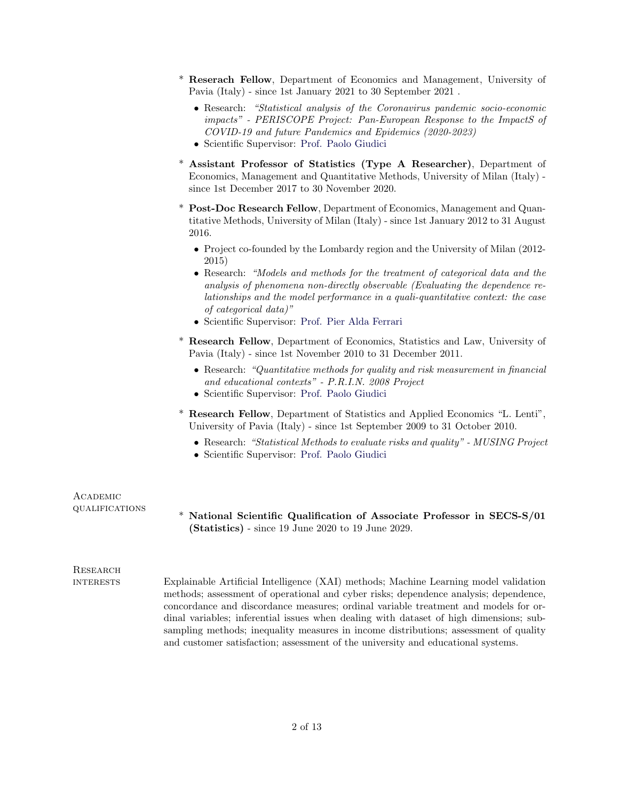- \* Reserach Fellow, Department of Economics and Management, University of Pavia (Italy) - since 1st January 2021 to 30 September 2021 .
	- Research: "Statistical analysis of the Coronavirus pandemic socio-economic impacts" - PERISCOPE Project: Pan-European Response to the ImpactS of COVID-19 and future Pandemics and Epidemics (2020-2023)
	- Scientific Supervisor: [Prof. Paolo Giudici](http://www.cse.ohio-state.edu/~paolo/)
- \* Assistant Professor of Statistics (Type A Researcher), Department of Economics, Management and Quantitative Methods, University of Milan (Italy) since 1st December 2017 to 30 November 2020.
- \* Post-Doc Research Fellow, Department of Economics, Management and Quantitative Methods, University of Milan (Italy) - since 1st January 2012 to 31 August 2016.
	- Project co-founded by the Lombardy region and the University of Milan (2012- 2015)
	- Research: "Models and methods for the treatment of categorical data and the analysis of phenomena non-directly observable (Evaluating the dependence relationships and the model performance in a quali-quantitative context: the case of categorical data)"
	- Scientific Supervisor: [Prof. Pier Alda Ferrari](http://www.cse.ohio-state.edu/~paolo/)
- \* Research Fellow, Department of Economics, Statistics and Law, University of Pavia (Italy) - since 1st November 2010 to 31 December 2011.
	- Research: "Quantitative methods for quality and risk measurement in financial and educational contexts" - P.R.I.N. 2008 Project
	- Scientific Supervisor: [Prof. Paolo Giudici](http://www.cse.ohio-state.edu/~paolo/)
- \* Research Fellow, Department of Statistics and Applied Economics "L. Lenti", University of Pavia (Italy) - since 1st September 2009 to 31 October 2010.
	- Research: "Statistical Methods to evaluate risks and quality" MUSING Project
	- Scientific Supervisor: [Prof. Paolo Giudici](http://www.cse.ohio-state.edu/~paolo/)

| ACADEMIC<br><b>QUALIFICATIONS</b> | * National Scientific Qualification of Associate Professor in SECS-S/01<br>$(Statistics)$ - since 19 June 2020 to 19 June 2029.                                                                                                                                                                                                                                                                                                                       |
|-----------------------------------|-------------------------------------------------------------------------------------------------------------------------------------------------------------------------------------------------------------------------------------------------------------------------------------------------------------------------------------------------------------------------------------------------------------------------------------------------------|
| RESEARCH                          |                                                                                                                                                                                                                                                                                                                                                                                                                                                       |
| <b>INTERESTS</b>                  | Explainable Artificial Intelligence (XAI) methods; Machine Learning model validation<br>methods; assessment of operational and cyber risks; dependence analysis; dependence,<br>concordance and discordance measures; ordinal variable treatment and models for or-<br>dinal variables; inferential issues when dealing with dataset of high dimensions; sub-<br>sampling methods: inequality measures in income distributions: assessment of quality |

and customer satisfaction; assessment of the university and educational systems.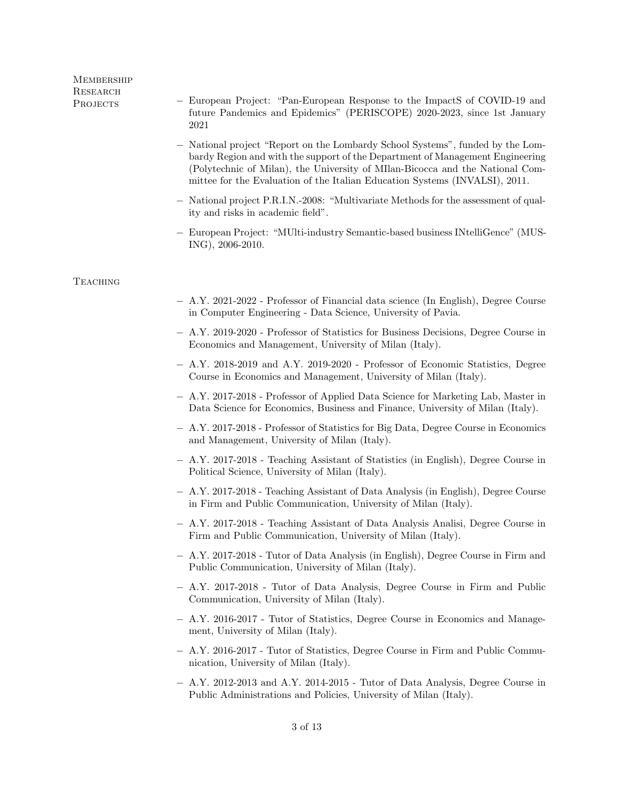# **MEMBERSHIP RESEARCH**

- Projects − European Project: "Pan-European Response to the ImpactS of COVID-19 and future Pandemics and Epidemics" (PERISCOPE) 2020-2023, since 1st January 2021
	- − National project "Report on the Lombardy School Systems", funded by the Lombardy Region and with the support of the Department of Management Engineering (Polytechnic of Milan), the University of MIlan-Bicocca and the National Committee for the Evaluation of the Italian Education Systems (INVALSI), 2011.
	- − National project P.R.I.N.-2008: "Multivariate Methods for the assessment of quality and risks in academic field".
	- − European Project: "MUlti-industry Semantic-based business INtelliGence" (MUS-ING), 2006-2010.

### **TEACHING**

- − A.Y. 2021-2022 Professor of Financial data science (In English), Degree Course in Computer Engineering - Data Science, University of Pavia.
- − A.Y. 2019-2020 Professor of Statistics for Business Decisions, Degree Course in Economics and Management, University of Milan (Italy).
- − A.Y. 2018-2019 and A.Y. 2019-2020 Professor of Economic Statistics, Degree Course in Economics and Management, University of Milan (Italy).
- − A.Y. 2017-2018 Professor of Applied Data Science for Marketing Lab, Master in Data Science for Economics, Business and Finance, University of Milan (Italy).
- − A.Y. 2017-2018 Professor of Statistics for Big Data, Degree Course in Economics and Management, University of Milan (Italy).
- − A.Y. 2017-2018 Teaching Assistant of Statistics (in English), Degree Course in Political Science, University of Milan (Italy).
- − A.Y. 2017-2018 Teaching Assistant of Data Analysis (in English), Degree Course in Firm and Public Communication, University of Milan (Italy).
- − A.Y. 2017-2018 Teaching Assistant of Data Analysis Analisi, Degree Course in Firm and Public Communication, University of Milan (Italy).
- − A.Y. 2017-2018 Tutor of Data Analysis (in English), Degree Course in Firm and Public Communication, University of Milan (Italy).
- − A.Y. 2017-2018 Tutor of Data Analysis, Degree Course in Firm and Public Communication, University of Milan (Italy).
- − A.Y. 2016-2017 Tutor of Statistics, Degree Course in Economics and Management, University of Milan (Italy).
- − A.Y. 2016-2017 Tutor of Statistics, Degree Course in Firm and Public Communication, University of Milan (Italy).
- − A.Y. 2012-2013 and A.Y. 2014-2015 Tutor of Data Analysis, Degree Course in Public Administrations and Policies, University of Milan (Italy).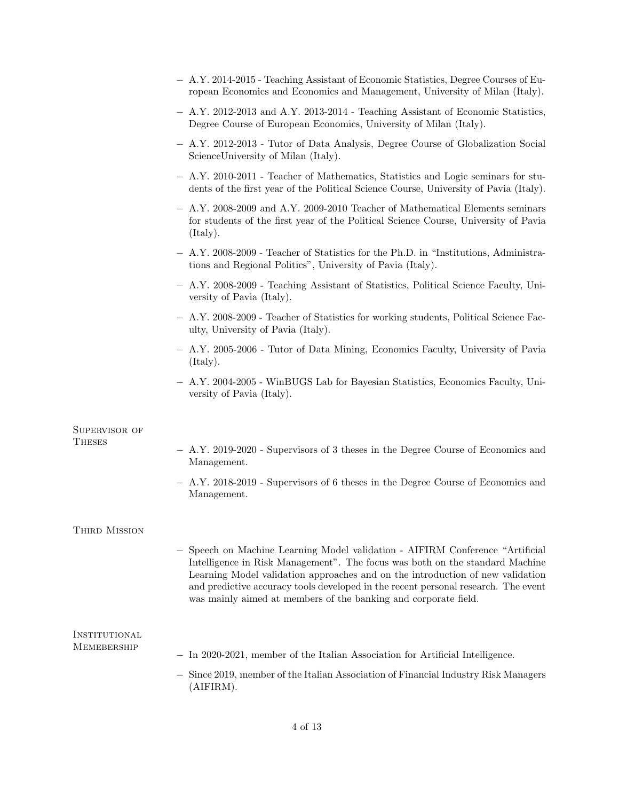|                              | - A.Y. 2014-2015 - Teaching Assistant of Economic Statistics, Degree Courses of Eu-<br>ropean Economics and Economics and Management, University of Milan (Italy).                                                                                                                                                                                                                                     |
|------------------------------|--------------------------------------------------------------------------------------------------------------------------------------------------------------------------------------------------------------------------------------------------------------------------------------------------------------------------------------------------------------------------------------------------------|
|                              | - A.Y. 2012-2013 and A.Y. 2013-2014 - Teaching Assistant of Economic Statistics,<br>Degree Course of European Economics, University of Milan (Italy).                                                                                                                                                                                                                                                  |
|                              | - A.Y. 2012-2013 - Tutor of Data Analysis, Degree Course of Globalization Social<br>Science University of Milan (Italy).                                                                                                                                                                                                                                                                               |
|                              | - A.Y. 2010-2011 - Teacher of Mathematics, Statistics and Logic seminars for stu-<br>dents of the first year of the Political Science Course, University of Pavia (Italy).                                                                                                                                                                                                                             |
|                              | $-$ A.Y. 2008-2009 and A.Y. 2009-2010 Teacher of Mathematical Elements seminars<br>for students of the first year of the Political Science Course, University of Pavia<br>(Italy).                                                                                                                                                                                                                     |
|                              | A.Y. 2008-2009 - Teacher of Statistics for the Ph.D. in "Institutions, Administra-<br>tions and Regional Politics", University of Pavia (Italy).                                                                                                                                                                                                                                                       |
|                              | - A.Y. 2008-2009 - Teaching Assistant of Statistics, Political Science Faculty, Uni-<br>versity of Pavia (Italy).                                                                                                                                                                                                                                                                                      |
|                              | - A.Y. 2008-2009 - Teacher of Statistics for working students, Political Science Fac-<br>ulty, University of Pavia (Italy).                                                                                                                                                                                                                                                                            |
|                              | - A.Y. 2005-2006 - Tutor of Data Mining, Economics Faculty, University of Pavia<br>(Italy).                                                                                                                                                                                                                                                                                                            |
|                              | A.Y. 2004-2005 - WinBUGS Lab for Bayesian Statistics, Economics Faculty, Uni-<br>versity of Pavia (Italy).                                                                                                                                                                                                                                                                                             |
| SUPERVISOR OF                |                                                                                                                                                                                                                                                                                                                                                                                                        |
| THESES                       | $-$ A.Y. 2019-2020 - Supervisors of 3 theses in the Degree Course of Economics and<br>Management.                                                                                                                                                                                                                                                                                                      |
|                              | $-$ A.Y. 2018-2019 - Supervisors of 6 theses in the Degree Course of Economics and<br>Management.                                                                                                                                                                                                                                                                                                      |
| THIRD MISSION                |                                                                                                                                                                                                                                                                                                                                                                                                        |
|                              | Speech on Machine Learning Model validation - AIFIRM Conference "Artificial<br>Intelligence in Risk Management". The focus was both on the standard Machine<br>Learning Model validation approaches and on the introduction of new validation<br>and predictive accuracy tools developed in the recent personal research. The event<br>was mainly aimed at members of the banking and corporate field. |
| INSTITUTIONAL<br>MEMEBERSHIP |                                                                                                                                                                                                                                                                                                                                                                                                        |
|                              | In 2020-2021, member of the Italian Association for Artificial Intelligence.                                                                                                                                                                                                                                                                                                                           |
|                              | Since 2019, member of the Italian Association of Financial Industry Risk Managers<br>(AIFIRM).                                                                                                                                                                                                                                                                                                         |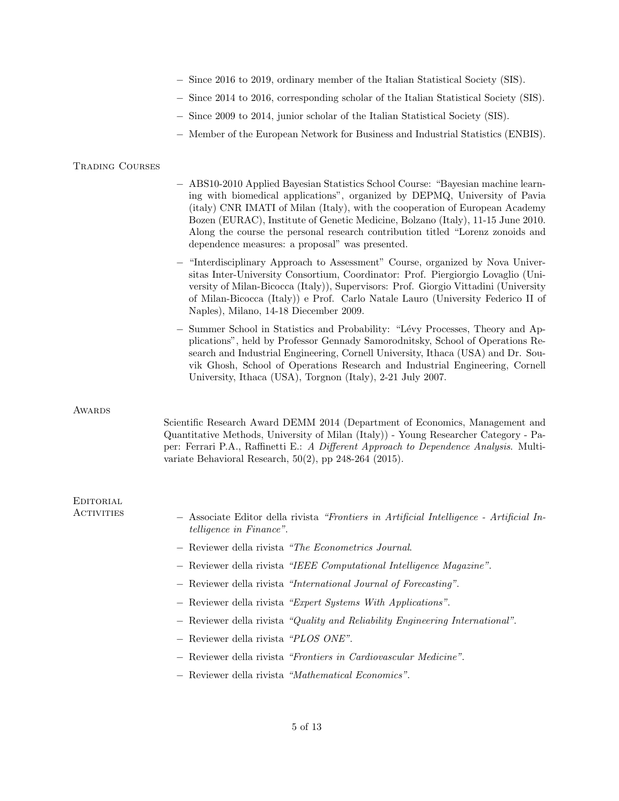- − Since 2016 to 2019, ordinary member of the Italian Statistical Society (SIS).
- − Since 2014 to 2016, corresponding scholar of the Italian Statistical Society (SIS).
- − Since 2009 to 2014, junior scholar of the Italian Statistical Society (SIS).
- − Member of the European Network for Business and Industrial Statistics (ENBIS).

#### Trading Courses

- − ABS10-2010 Applied Bayesian Statistics School Course: "Bayesian machine learning with biomedical applications", organized by DEPMQ, University of Pavia (italy) CNR IMATI of Milan (Italy), with the cooperation of European Academy Bozen (EURAC), Institute of Genetic Medicine, Bolzano (Italy), 11-15 June 2010. Along the course the personal research contribution titled "Lorenz zonoids and dependence measures: a proposal" was presented.
- − "Interdisciplinary Approach to Assessment" Course, organized by Nova Universitas Inter-University Consortium, Coordinator: Prof. Piergiorgio Lovaglio (University of Milan-Bicocca (Italy)), Supervisors: Prof. Giorgio Vittadini (University of Milan-Bicocca (Italy)) e Prof. Carlo Natale Lauro (University Federico II of Naples), Milano, 14-18 Diecember 2009.
- − Summer School in Statistics and Probability: "L´evy Processes, Theory and Applications", held by Professor Gennady Samorodnitsky, School of Operations Research and Industrial Engineering, Cornell University, Ithaca (USA) and Dr. Souvik Ghosh, School of Operations Research and Industrial Engineering, Cornell University, Ithaca (USA), Torgnon (Italy), 2-21 July 2007.

#### **AWARDS**

Scientific Research Award DEMM 2014 (Department of Economics, Management and Quantitative Methods, University of Milan (Italy)) - Young Researcher Category - Paper: Ferrari P.A., Raffinetti E.: A Different Approach to Dependence Analysis. Multivariate Behavioral Research, 50(2), pp 248-264 (2015).

| EDITORIAL<br><b>ACTIVITIES</b> |                                                                                                                            |
|--------------------------------|----------------------------------------------------------------------------------------------------------------------------|
|                                | - Associate Editor della rivista "Frontiers in Artificial Intelligence - Artificial In-<br><i>telligence in Finance"</i> . |
|                                | - Reviewer della rivista "The Econometrics Journal.                                                                        |
|                                | - Reviewer della rivista "IEEE Computational Intelligence Magazine".                                                       |
|                                | - Reviewer della rivista "International Journal of Forecasting".                                                           |
|                                | - Reviewer della rivista "Expert Systems With Applications".                                                               |
|                                | - Reviewer della rivista "Quality and Reliability Engineering International".                                              |
|                                | $-$ Reviewer della rivista "PLOS ONE".                                                                                     |
|                                | - Reviewer della rivista "Frontiers in Cardiovascular Medicine".                                                           |
|                                |                                                                                                                            |

− Reviewer della rivista "Mathematical Economics".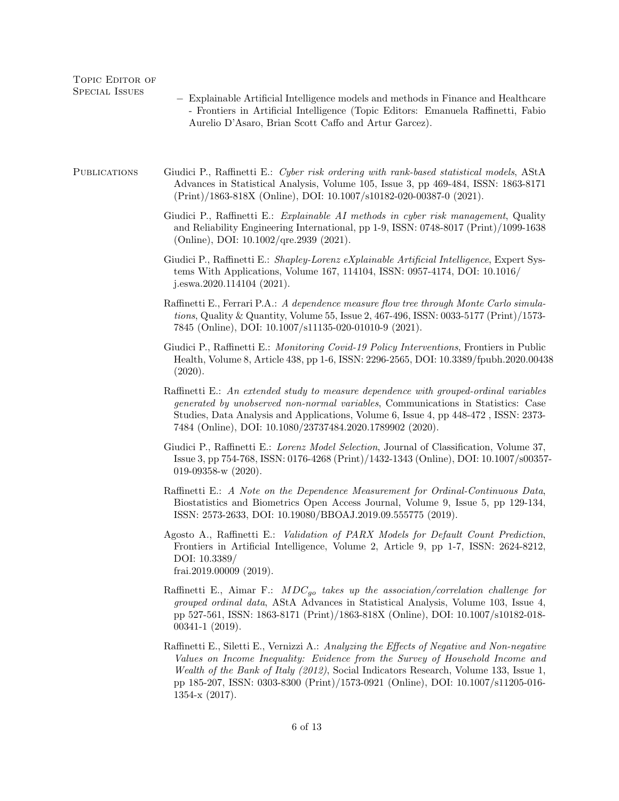| TOPIC EDITOR OF<br><b>SPECIAL ISSUES</b> | - Explainable Artificial Intelligence models and methods in Finance and Healthcare<br>- Frontiers in Artificial Intelligence (Topic Editors: Emanuela Raffinetti, Fabio<br>Aurelio D'Asaro, Brian Scott Caffo and Artur Garcez).                                                                                                                                             |
|------------------------------------------|------------------------------------------------------------------------------------------------------------------------------------------------------------------------------------------------------------------------------------------------------------------------------------------------------------------------------------------------------------------------------|
| <b>PUBLICATIONS</b>                      | Giudici P., Raffinetti E.: Cyber risk ordering with rank-based statistical models, AStA<br>Advances in Statistical Analysis, Volume 105, Issue 3, pp 469-484, ISSN: 1863-8171<br>(Print)/1863-818X (Online), DOI: 10.1007/s10182-020-00387-0 (2021).                                                                                                                         |
|                                          | Giudici P., Raffinetti E.: Explainable AI methods in cyber risk management, Quality<br>and Reliability Engineering International, pp 1-9, ISSN: 0748-8017 (Print)/1099-1638<br>(Online), DOI: 10.1002/qre.2939 (2021).                                                                                                                                                       |
|                                          | Giudici P., Raffinetti E.: Shapley-Lorenz eXplainable Artificial Intelligence, Expert Sys-<br>tems With Applications, Volume 167, 114104, ISSN: 0957-4174, DOI: 10.1016/<br>j.eswa.2020.114104 $(2021)$ .                                                                                                                                                                    |
|                                          | Raffinetti E., Ferrari P.A.: A dependence measure flow tree through Monte Carlo simula-<br>tions, Quality & Quantity, Volume 55, Issue 2, $467-496$ , ISSN: $0033-5177$ (Print)/1573-<br>7845 (Online), DOI: 10.1007/s11135-020-01010-9 (2021).                                                                                                                              |
|                                          | Giudici P., Raffinetti E.: Monitoring Covid-19 Policy Interventions, Frontiers in Public<br>Health, Volume 8, Article 438, pp 1-6, ISSN: 2296-2565, DOI: 10.3389/fpubh.2020.00438<br>(2020).                                                                                                                                                                                 |
|                                          | Raffinetti E.: An extended study to measure dependence with grouped-ordinal variables<br>generated by unobserved non-normal variables, Communications in Statistics: Case<br>Studies, Data Analysis and Applications, Volume 6, Issue 4, pp 448-472, ISSN: 2373-<br>7484 (Online), DOI: 10.1080/23737484.2020.1789902 (2020).                                                |
|                                          | Giudici P., Raffinetti E.: Lorenz Model Selection, Journal of Classification, Volume 37,<br>Issue 3, pp 754-768, ISSN: 0176-4268 (Print)/1432-1343 (Online), DOI: 10.1007/s00357-<br>019-09358-w $(2020)$ .                                                                                                                                                                  |
|                                          | Raffinetti E.: A Note on the Dependence Measurement for Ordinal-Continuous Data,<br>Biostatistics and Biometrics Open Access Journal, Volume 9, Issue 5, pp 129-134,<br>ISSN: 2573-2633, DOI: 10.19080/BBOAJ.2019.09.555775 (2019).                                                                                                                                          |
|                                          | Agosto A., Raffinetti E.: <i>Validation of PARX Models for Default Count Prediction</i> ,<br>Frontiers in Artificial Intelligence, Volume 2, Article 9, pp 1-7, ISSN: 2624-8212,<br>DOI: 10.3389/<br>frai.2019.00009 $(2019)$ .                                                                                                                                              |
|                                          | Raffinetti E., Aimar F.: $MDC_{qo}$ takes up the association/correlation challenge for<br>grouped ordinal data, AStA Advances in Statistical Analysis, Volume 103, Issue 4,<br>pp 527-561, ISSN: 1863-8171 (Print)/1863-818X (Online), DOI: 10.1007/s10182-018-<br>$00341 - 1$ $(2019)$ .                                                                                    |
|                                          | Raffinetti E., Siletti E., Vernizzi A.: Analyzing the Effects of Negative and Non-negative<br>Values on Income Inequality: Evidence from the Survey of Household Income and<br>Wealth of the Bank of Italy (2012), Social Indicators Research, Volume 133, Issue 1,<br>pp 185-207, ISSN: 0303-8300 (Print)/1573-0921 (Online), DOI: 10.1007/s11205-016-<br>1354-x $(2017)$ . |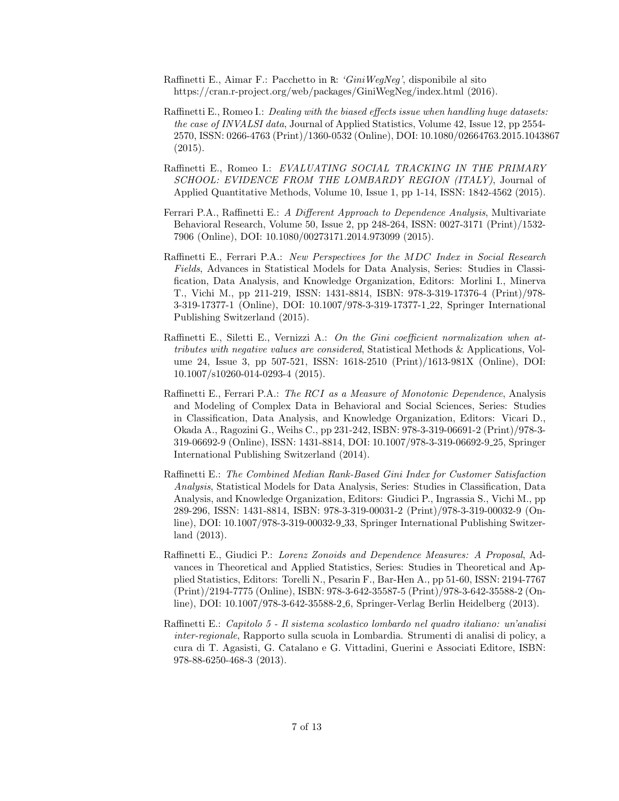- Raffinetti E., Aimar F.: Pacchetto in R: 'GiniWegNeg', disponibile al sito https://cran.r-project.org/web/packages/GiniWegNeg/index.html (2016).
- Raffinetti E., Romeo I.: *Dealing with the biased effects issue when handling huge datasets:* the case of INVALSI data, Journal of Applied Statistics, Volume 42, Issue 12, pp 2554- 2570, ISSN: 0266-4763 (Print)/1360-0532 (Online), DOI: 10.1080/02664763.2015.1043867 (2015).
- Raffinetti E., Romeo I.: EVALUATING SOCIAL TRACKING IN THE PRIMARY SCHOOL: EVIDENCE FROM THE LOMBARDY REGION (ITALY), Journal of Applied Quantitative Methods, Volume 10, Issue 1, pp 1-14, ISSN: 1842-4562 (2015).
- Ferrari P.A., Raffinetti E.: A Different Approach to Dependence Analysis, Multivariate Behavioral Research, Volume 50, Issue 2, pp 248-264, ISSN: 0027-3171 (Print)/1532- 7906 (Online), DOI: 10.1080/00273171.2014.973099 (2015).
- Raffinetti E., Ferrari P.A.: New Perspectives for the MDC Index in Social Research Fields, Advances in Statistical Models for Data Analysis, Series: Studies in Classification, Data Analysis, and Knowledge Organization, Editors: Morlini I., Minerva T., Vichi M., pp 211-219, ISSN: 1431-8814, ISBN: 978-3-319-17376-4 (Print)/978- 3-319-17377-1 (Online), DOI: 10.1007/978-3-319-17377-1 22, Springer International Publishing Switzerland (2015).
- Raffinetti E., Siletti E., Vernizzi A.: On the Gini coefficient normalization when attributes with negative values are considered, Statistical Methods & Applications, Volume 24, Issue 3, pp 507-521, ISSN: 1618-2510 (Print)/1613-981X (Online), DOI: 10.1007/s10260-014-0293-4 (2015).
- Raffinetti E., Ferrari P.A.: The RCI as a Measure of Monotonic Dependence, Analysis and Modeling of Complex Data in Behavioral and Social Sciences, Series: Studies in Classification, Data Analysis, and Knowledge Organization, Editors: Vicari D., Okada A., Ragozini G., Weihs C., pp 231-242, ISBN: 978-3-319-06691-2 (Print)/978-3- 319-06692-9 (Online), ISSN: 1431-8814, DOI: 10.1007/978-3-319-06692-9 25, Springer International Publishing Switzerland (2014).
- Raffinetti E.: The Combined Median Rank-Based Gini Index for Customer Satisfaction Analysis, Statistical Models for Data Analysis, Series: Studies in Classification, Data Analysis, and Knowledge Organization, Editors: Giudici P., Ingrassia S., Vichi M., pp 289-296, ISSN: 1431-8814, ISBN: 978-3-319-00031-2 (Print)/978-3-319-00032-9 (Online), DOI: 10.1007/978-3-319-00032-9 33, Springer International Publishing Switzerland (2013).
- Raffinetti E., Giudici P.: Lorenz Zonoids and Dependence Measures: A Proposal, Advances in Theoretical and Applied Statistics, Series: Studies in Theoretical and Applied Statistics, Editors: Torelli N., Pesarin F., Bar-Hen A., pp 51-60, ISSN: 2194-7767 (Print)/2194-7775 (Online), ISBN: 978-3-642-35587-5 (Print)/978-3-642-35588-2 (Online), DOI: 10.1007/978-3-642-35588-2 6, Springer-Verlag Berlin Heidelberg (2013).
- Raffinetti E.: Capitolo 5 Il sistema scolastico lombardo nel quadro italiano: un'analisi inter-regionale, Rapporto sulla scuola in Lombardia. Strumenti di analisi di policy, a cura di T. Agasisti, G. Catalano e G. Vittadini, Guerini e Associati Editore, ISBN: 978-88-6250-468-3 (2013).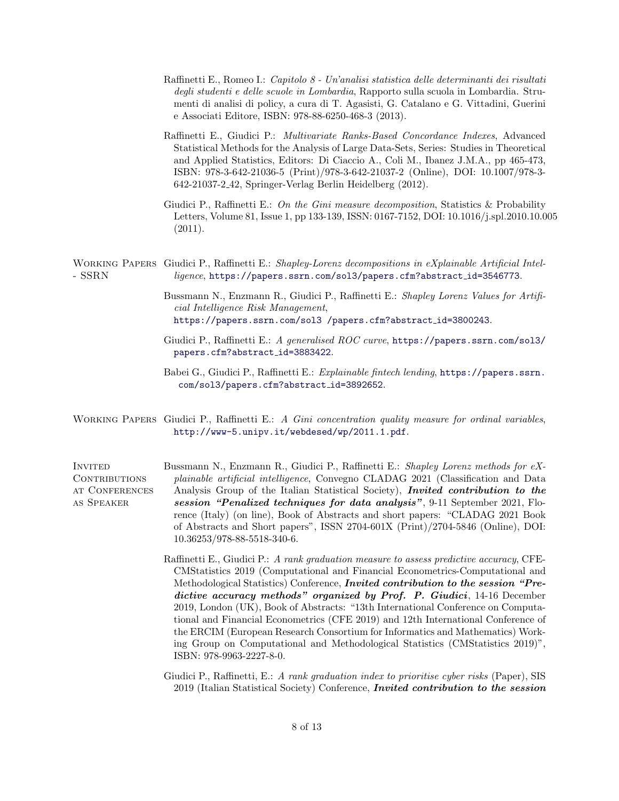- Raffinetti E., Romeo I.: Capitolo 8 Un'analisi statistica delle determinanti dei risultati degli studenti e delle scuole in Lombardia, Rapporto sulla scuola in Lombardia. Strumenti di analisi di policy, a cura di T. Agasisti, G. Catalano e G. Vittadini, Guerini e Associati Editore, ISBN: 978-88-6250-468-3 (2013).
- Raffinetti E., Giudici P.: Multivariate Ranks-Based Concordance Indexes, Advanced Statistical Methods for the Analysis of Large Data-Sets, Series: Studies in Theoretical and Applied Statistics, Editors: Di Ciaccio A., Coli M., Ibanez J.M.A., pp 465-473, ISBN: 978-3-642-21036-5 (Print)/978-3-642-21037-2 (Online), DOI: 10.1007/978-3- 642-21037-2 42, Springer-Verlag Berlin Heidelberg (2012).
- Giudici P., Raffinetti E.: On the Gini measure decomposition, Statistics & Probability Letters, Volume 81, Issue 1, pp 133-139, ISSN: 0167-7152, DOI: 10.1016/j.spl.2010.10.005 (2011).

WORKING PAPERS Giudici P., Raffinetti E.: Shapley-Lorenz decompositions in eXplainable Artificial Intel-- SSRN ligence, [https://papers.ssrn.com/sol3/papers.cfm?abstract](https://papers.ssrn.com/sol3/papers.cfm?abstract_id=3546773) id=3546773.

- Bussmann N., Enzmann R., Giudici P., Raffinetti E.: Shapley Lorenz Values for Artificial Intelligence Risk Management, [https://papers.ssrn.com/sol3 /papers.cfm?abstract](https://papers.ssrn.com/sol3 /papers.cfm?abstract_id=3800243) id=3800243.
- Giudici P., Raffinetti E.: A generalised ROC curve, <https://papers.ssrn.com/sol3/> [papers.cfm?abstract](papers.cfm?abstract_id=3883422) id=3883422.
- Babei G., Giudici P., Raffinetti E.: Explainable fintech lending, [https://papers.ssrn.](https://papers.ssrn.\) [com/sol3/papers.cfm?abstract](com/sol3/papers.cfm?abstract_id=3892652) id=3892652.
- WORKING PAPERS Giudici P., Raffinetti E.: A Gini concentration quality measure for ordinal variables, <http://www-5.unipv.it/webdesed/wp/2011.1.pdf>.
- **INVITED** CONTRIBUTIONS at Conferences as Speaker Bussmann N., Enzmann R., Giudici P., Raffinetti E.: Shapley Lorenz methods for eXplainable artificial intelligence, Convegno CLADAG 2021 (Classification and Data Analysis Group of the Italian Statistical Society), *Invited contribution to the* session "Penalized techniques for data analysis", 9-11 September 2021, Florence (Italy) (on line), Book of Abstracts and short papers: "CLADAG 2021 Book of Abstracts and Short papers", ISSN 2704-601X (Print)/2704-5846 (Online), DOI: 10.36253/978-88-5518-340-6.
	- Raffinetti E., Giudici P.: A rank graduation measure to assess predictive accuracy, CFE-CMStatistics 2019 (Computational and Financial Econometrics-Computational and Methodological Statistics) Conference, Invited contribution to the session "Predictive accuracy methods" organized by Prof. P. Giudici, 14-16 December 2019, London (UK), Book of Abstracts: "13th International Conference on Computational and Financial Econometrics (CFE 2019) and 12th International Conference of the ERCIM (European Research Consortium for Informatics and Mathematics) Working Group on Computational and Methodological Statistics (CMStatistics 2019)", ISBN: 978-9963-2227-8-0.

Giudici P., Raffinetti, E.: A rank graduation index to prioritise cyber risks (Paper), SIS 2019 (Italian Statistical Society) Conference, Invited contribution to the session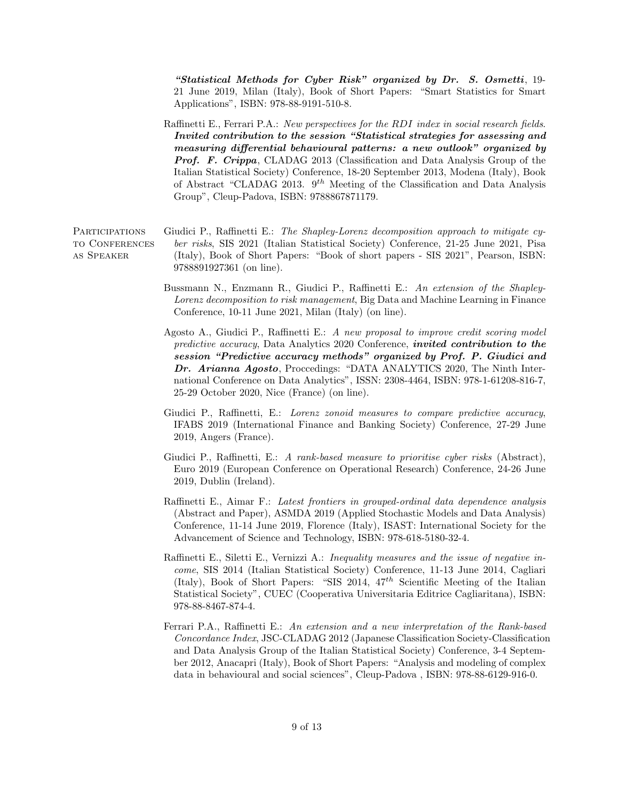"Statistical Methods for Cyber Risk" organized by Dr. S. Osmetti, 19- 21 June 2019, Milan (Italy), Book of Short Papers: "Smart Statistics for Smart Applications", ISBN: 978-88-9191-510-8.

Raffinetti E., Ferrari P.A.: *New perspectives for the RDI index in social research fields.* Invited contribution to the session "Statistical strategies for assessing and measuring differential behavioural patterns: a new outlook" organized by Prof. F. Crippa, CLADAG 2013 (Classification and Data Analysis Group of the Italian Statistical Society) Conference, 18-20 September 2013, Modena (Italy), Book of Abstract "CLADAG 2013.  $9^{th}$  Meeting of the Classification and Data Analysis Group", Cleup-Padova, ISBN: 9788867871179.

**PARTICIPATIONS** to Conferences as Speaker Giudici P., Raffinetti E.: The Shapley-Lorenz decomposition approach to mitigate cyber risks, SIS 2021 (Italian Statistical Society) Conference, 21-25 June 2021, Pisa (Italy), Book of Short Papers: "Book of short papers - SIS 2021", Pearson, ISBN: 9788891927361 (on line).

- Bussmann N., Enzmann R., Giudici P., Raffinetti E.: An extension of the Shapley-Lorenz decomposition to risk management, Big Data and Machine Learning in Finance Conference, 10-11 June 2021, Milan (Italy) (on line).
- Agosto A., Giudici P., Raffinetti E.: A new proposal to improve credit scoring model predictive accuracy, Data Analytics 2020 Conference, invited contribution to the session "Predictive accuracy methods" organized by Prof. P. Giudici and Dr. Arianna Agosto, Proccedings: "DATA ANALYTICS 2020, The Ninth International Conference on Data Analytics", ISSN: 2308-4464, ISBN: 978-1-61208-816-7, 25-29 October 2020, Nice (France) (on line).
- Giudici P., Raffinetti, E.: Lorenz zonoid measures to compare predictive accuracy, IFABS 2019 (International Finance and Banking Society) Conference, 27-29 June 2019, Angers (France).
- Giudici P., Raffinetti, E.: A rank-based measure to prioritise cyber risks (Abstract), Euro 2019 (European Conference on Operational Research) Conference, 24-26 June 2019, Dublin (Ireland).
- Raffinetti E., Aimar F.: Latest frontiers in grouped-ordinal data dependence analysis (Abstract and Paper), ASMDA 2019 (Applied Stochastic Models and Data Analysis) Conference, 11-14 June 2019, Florence (Italy), ISAST: International Society for the Advancement of Science and Technology, ISBN: 978-618-5180-32-4.
- Raffinetti E., Siletti E., Vernizzi A.: Inequality measures and the issue of negative income, SIS 2014 (Italian Statistical Society) Conference, 11-13 June 2014, Cagliari (Italy), Book of Short Papers: "SIS 2014,  $47<sup>th</sup>$  Scientific Meeting of the Italian Statistical Society", CUEC (Cooperativa Universitaria Editrice Cagliaritana), ISBN: 978-88-8467-874-4.
- Ferrari P.A., Raffinetti E.: An extension and a new interpretation of the Rank-based Concordance Index, JSC-CLADAG 2012 (Japanese Classification Society-Classification and Data Analysis Group of the Italian Statistical Society) Conference, 3-4 September 2012, Anacapri (Italy), Book of Short Papers: "Analysis and modeling of complex data in behavioural and social sciences", Cleup-Padova , ISBN: 978-88-6129-916-0.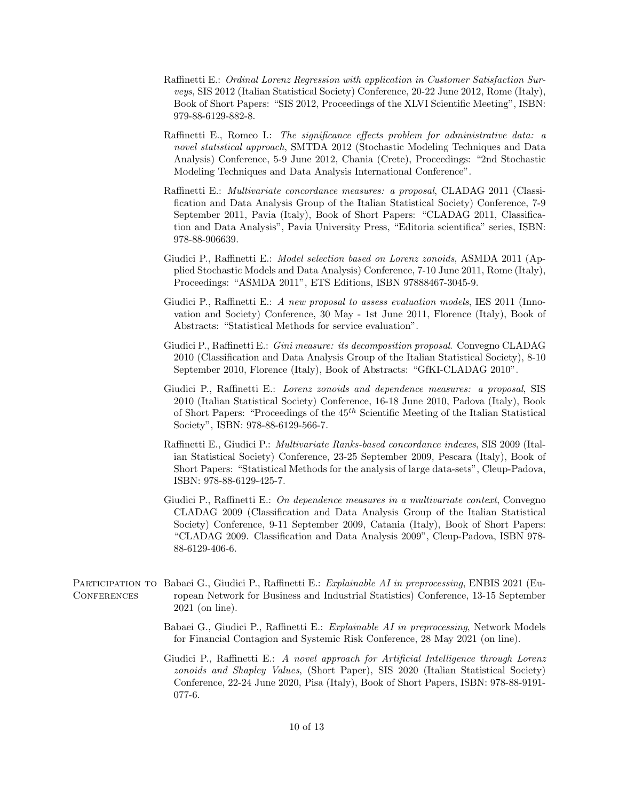- Raffinetti E.: Ordinal Lorenz Regression with application in Customer Satisfaction Surveys, SIS 2012 (Italian Statistical Society) Conference, 20-22 June 2012, Rome (Italy), Book of Short Papers: "SIS 2012, Proceedings of the XLVI Scientific Meeting", ISBN: 979-88-6129-882-8.
- Raffinetti E., Romeo I.: The significance effects problem for administrative data: a novel statistical approach, SMTDA 2012 (Stochastic Modeling Techniques and Data Analysis) Conference, 5-9 June 2012, Chania (Crete), Proceedings: "2nd Stochastic Modeling Techniques and Data Analysis International Conference".
- Raffinetti E.: Multivariate concordance measures: a proposal, CLADAG 2011 (Classification and Data Analysis Group of the Italian Statistical Society) Conference, 7-9 September 2011, Pavia (Italy), Book of Short Papers: "CLADAG 2011, Classification and Data Analysis", Pavia University Press, "Editoria scientifica" series, ISBN: 978-88-906639.
- Giudici P., Raffinetti E.: Model selection based on Lorenz zonoids, ASMDA 2011 (Applied Stochastic Models and Data Analysis) Conference, 7-10 June 2011, Rome (Italy), Proceedings: "ASMDA 2011", ETS Editions, ISBN 97888467-3045-9.
- Giudici P., Raffinetti E.: A new proposal to assess evaluation models, IES 2011 (Innovation and Society) Conference, 30 May - 1st June 2011, Florence (Italy), Book of Abstracts: "Statistical Methods for service evaluation".
- Giudici P., Raffinetti E.: Gini measure: its decomposition proposal. Convegno CLADAG 2010 (Classification and Data Analysis Group of the Italian Statistical Society), 8-10 September 2010, Florence (Italy), Book of Abstracts: "GfKI-CLADAG 2010".
- Giudici P., Raffinetti E.: Lorenz zonoids and dependence measures: a proposal, SIS 2010 (Italian Statistical Society) Conference, 16-18 June 2010, Padova (Italy), Book of Short Papers: "Proceedings of the  $45<sup>th</sup>$  Scientific Meeting of the Italian Statistical Society", ISBN: 978-88-6129-566-7.
- Raffinetti E., Giudici P.: Multivariate Ranks-based concordance indexes, SIS 2009 (Italian Statistical Society) Conference, 23-25 September 2009, Pescara (Italy), Book of Short Papers: "Statistical Methods for the analysis of large data-sets", Cleup-Padova, ISBN: 978-88-6129-425-7.
- Giudici P., Raffinetti E.: On dependence measures in a multivariate context, Convegno CLADAG 2009 (Classification and Data Analysis Group of the Italian Statistical Society) Conference, 9-11 September 2009, Catania (Italy), Book of Short Papers: "CLADAG 2009. Classification and Data Analysis 2009", Cleup-Padova, ISBN 978- 88-6129-406-6.
- PARTICIPATION TO Babaei G., Giudici P., Raffinetti E.: Explainable AI in preprocessing, ENBIS 2021 (Eu-**CONFERENCES** ropean Network for Business and Industrial Statistics) Conference, 13-15 September 2021 (on line).
	- Babaei G., Giudici P., Raffinetti E.: Explainable AI in preprocessing, Network Models for Financial Contagion and Systemic Risk Conference, 28 May 2021 (on line).

Giudici P., Raffinetti E.: A novel approach for Artificial Intelligence through Lorenz zonoids and Shapley Values, (Short Paper), SIS 2020 (Italian Statistical Society) Conference, 22-24 June 2020, Pisa (Italy), Book of Short Papers, ISBN: 978-88-9191- 077-6.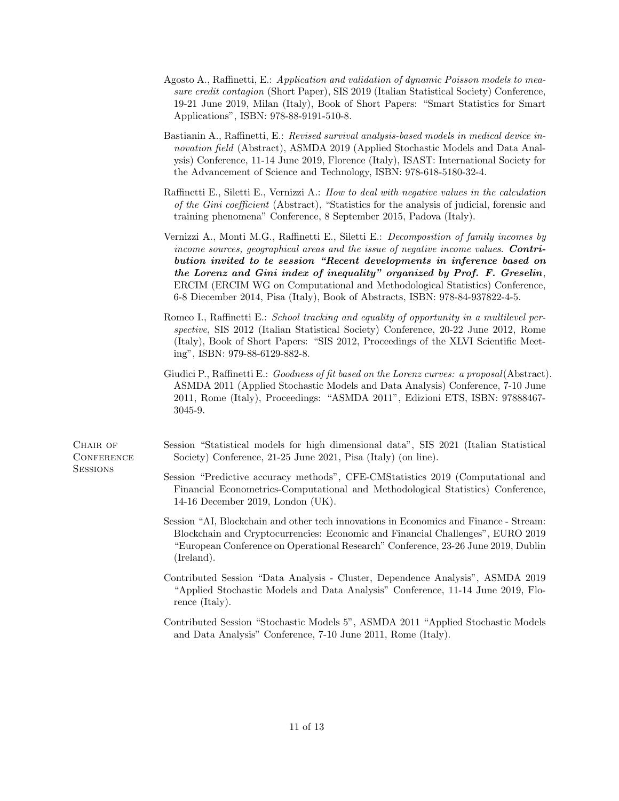- Agosto A., Raffinetti, E.: Application and validation of dynamic Poisson models to measure credit contagion (Short Paper), SIS 2019 (Italian Statistical Society) Conference, 19-21 June 2019, Milan (Italy), Book of Short Papers: "Smart Statistics for Smart Applications", ISBN: 978-88-9191-510-8.
- Bastianin A., Raffinetti, E.: Revised survival analysis-based models in medical device innovation field (Abstract), ASMDA 2019 (Applied Stochastic Models and Data Analysis) Conference, 11-14 June 2019, Florence (Italy), ISAST: International Society for the Advancement of Science and Technology, ISBN: 978-618-5180-32-4.
- Raffinetti E., Siletti E., Vernizzi A.: How to deal with negative values in the calculation of the Gini coefficient (Abstract), "Statistics for the analysis of judicial, forensic and training phenomena" Conference, 8 September 2015, Padova (Italy).
- Vernizzi A., Monti M.G., Raffinetti E., Siletti E.: Decomposition of family incomes by income sources, geographical areas and the issue of negative income values. **Contri**bution invited to te session "Recent developments in inference based on the Lorenz and Gini index of inequality" organized by Prof. F. Greselin, ERCIM (ERCIM WG on Computational and Methodological Statistics) Conference, 6-8 Diecember 2014, Pisa (Italy), Book of Abstracts, ISBN: 978-84-937822-4-5.
- Romeo I., Raffinetti E.: School tracking and equality of opportunity in a multilevel perspective, SIS 2012 (Italian Statistical Society) Conference, 20-22 June 2012, Rome (Italy), Book of Short Papers: "SIS 2012, Proceedings of the XLVI Scientific Meeting", ISBN: 979-88-6129-882-8.
- Giudici P., Raffinetti E.: Goodness of fit based on the Lorenz curves: a proposal(Abstract). ASMDA 2011 (Applied Stochastic Models and Data Analysis) Conference, 7-10 June 2011, Rome (Italy), Proceedings: "ASMDA 2011", Edizioni ETS, ISBN: 97888467- 3045-9.
- Session "Statistical models for high dimensional data", SIS 2021 (Italian Statistical Society) Conference, 21-25 June 2021, Pisa (Italy) (on line).
	- Session "Predictive accuracy methods", CFE-CMStatistics 2019 (Computational and Financial Econometrics-Computational and Methodological Statistics) Conference, 14-16 December 2019, London (UK).
	- Session "AI, Blockchain and other tech innovations in Economics and Finance Stream: Blockchain and Cryptocurrencies: Economic and Financial Challenges", EURO 2019 "European Conference on Operational Research" Conference, 23-26 June 2019, Dublin (Ireland).
	- Contributed Session "Data Analysis Cluster, Dependence Analysis", ASMDA 2019 "Applied Stochastic Models and Data Analysis" Conference, 11-14 June 2019, Florence (Italy).
	- Contributed Session "Stochastic Models 5", ASMDA 2011 "Applied Stochastic Models and Data Analysis" Conference, 7-10 June 2011, Rome (Italy).

CHAIR OF **CONFERENCE SESSIONS**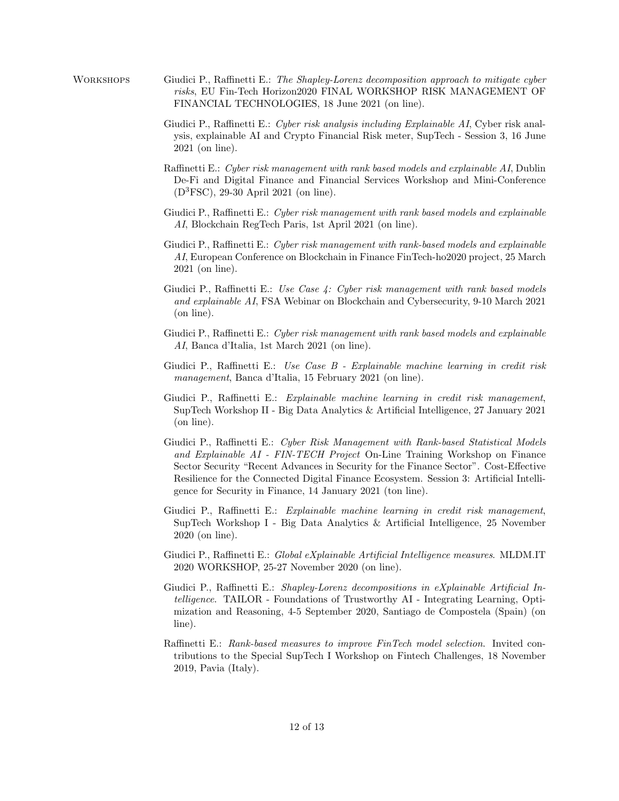- WORKSHOPS Giudici P., Raffinetti E.: The Shapley-Lorenz decomposition approach to mitigate cyber risks, EU Fin-Tech Horizon2020 FINAL WORKSHOP RISK MANAGEMENT OF FINANCIAL TECHNOLOGIES, 18 June 2021 (on line).
	- Giudici P., Raffinetti E.: Cyber risk analysis including Explainable AI, Cyber risk analysis, explainable AI and Crypto Financial Risk meter, SupTech - Session 3, 16 June 2021 (on line).
	- Raffinetti E.: Cyber risk management with rank based models and explainable AI, Dublin De-Fi and Digital Finance and Financial Services Workshop and Mini-Conference (D3FSC), 29-30 April 2021 (on line).
	- Giudici P., Raffinetti E.: Cyber risk management with rank based models and explainable AI, Blockchain RegTech Paris, 1st April 2021 (on line).
	- Giudici P., Raffinetti E.: Cyber risk management with rank-based models and explainable AI, European Conference on Blockchain in Finance FinTech-ho2020 project, 25 March 2021 (on line).
	- Giudici P., Raffinetti E.: Use Case 4: Cyber risk management with rank based models and explainable AI, FSA Webinar on Blockchain and Cybersecurity, 9-10 March 2021 (on line).
	- Giudici P., Raffinetti E.: Cyber risk management with rank based models and explainable AI, Banca d'Italia, 1st March 2021 (on line).
	- Giudici P., Raffinetti E.: Use Case B Explainable machine learning in credit risk management, Banca d'Italia, 15 February 2021 (on line).
	- Giudici P., Raffinetti E.: Explainable machine learning in credit risk management, SupTech Workshop II - Big Data Analytics & Artificial Intelligence, 27 January 2021 (on line).
	- Giudici P., Raffinetti E.: Cyber Risk Management with Rank-based Statistical Models and Explainable AI - FIN-TECH Project On-Line Training Workshop on Finance Sector Security "Recent Advances in Security for the Finance Sector". Cost-Effective Resilience for the Connected Digital Finance Ecosystem. Session 3: Artificial Intelligence for Security in Finance, 14 January 2021 (ton line).
	- Giudici P., Raffinetti E.: Explainable machine learning in credit risk management, SupTech Workshop I - Big Data Analytics & Artificial Intelligence, 25 November 2020 (on line).
	- Giudici P., Raffinetti E.: Global eXplainable Artificial Intelligence measures. MLDM.IT 2020 WORKSHOP, 25-27 November 2020 (on line).
	- Giudici P., Raffinetti E.: Shapley-Lorenz decompositions in eXplainable Artificial Intelligence. TAILOR - Foundations of Trustworthy AI - Integrating Learning, Optimization and Reasoning, 4-5 September 2020, Santiago de Compostela (Spain) (on line).
	- Raffinetti E.: Rank-based measures to improve FinTech model selection. Invited contributions to the Special SupTech I Workshop on Fintech Challenges, 18 November 2019, Pavia (Italy).